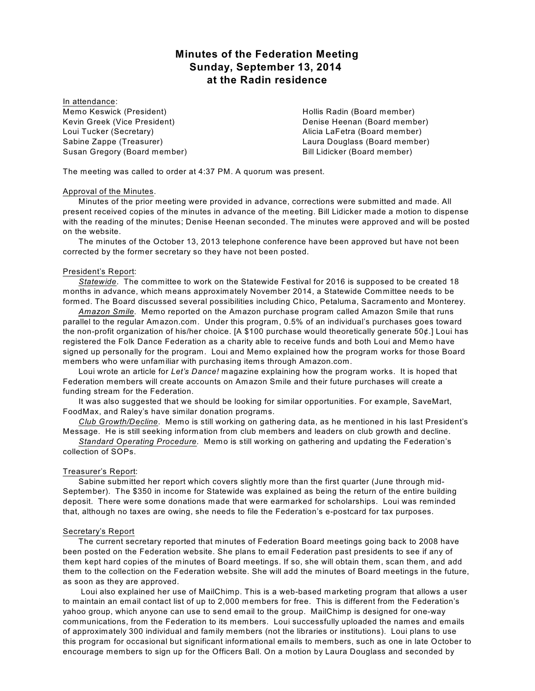# **Minutes of the Federation Meeting Sunday, September 13, 2014 at the Radin residence**

In attendance: Memo Keswick (President) Kevin Greek (Vice President) Loui Tucker (Secretary) Sabine Zappe (Treasurer) Susan Gregory (Board member)

Hollis Radin (Board member) Denise Heenan (Board member) Alicia LaFetra (Board member) Laura Douglass (Board member) Bill Lidicker (Board member)

The meeting was called to order at 4:37 PM. A quorum was present.

# Approval of the Minutes.

Minutes of the prior meeting were provided in advance, corrections were submitted and made. All present received copies of the minutes in advance of the meeting. Bill Lidicker made a motion to dispense with the reading of the minutes; Denise Heenan seconded. The minutes were approved and will be posted on the website.

The minutes of the October 13, 2013 telephone conference have been approved but have not been corrected by the former secretary so they have not been posted.

# President's Report:

*Statewide*. The committee to work on the Statewide Festival for 2016 is supposed to be created 18 months in advance, which means approximately November 2014, a Statewide Committee needs to be formed. The Board discussed several possibilities including Chico, Petaluma, Sacramento and Monterey.

*Amazon Smile.* Memo reported on the Amazon purchase program called Amazon Smile that runs parallel to the regular Amazon.com. Under this program, 0.5% of an individual's purchases goes toward the non-profit organization of his/her choice. [A \$100 purchase would theoretically generate 50¢.] Loui has registered the Folk Dance Federation as a charity able to receive funds and both Loui and Memo have signed up personally for the program. Loui and Memo explained how the program works for those Board members who were unfamiliar with purchasing items through Amazon.com.

Loui wrote an article for *Let's Dance!* magazine explaining how the program works. It is hoped that Federation members will create accounts on Amazon Smile and their future purchases will create a funding stream for the Federation.

It was also suggested that we should be looking for similar opportunities. For example, SaveMart, FoodMax, and Raley's have similar donation programs.

*Club Growth/Decline*. Memo is still working on gathering data, as he mentioned in his last President's Message. He is still seeking information from club members and leaders on club growth and decline.

*Standard Operating Procedure.* Memo is still working on gathering and updating the Federation's collection of SOPs.

## Treasurer's Report:

Sabine submitted her report which covers slightly more than the first quarter (June through mid-September). The \$350 in income for Statewide was explained as being the return of the entire building deposit. There were some donations made that were earmarked for scholarships. Loui was reminded that, although no taxes are owing, she needs to file the Federation's e-postcard for tax purposes.

## Secretary's Report

The current secretary reported that minutes of Federation Board meetings going back to 2008 have been posted on the Federation website. She plans to email Federation past presidents to see if any of them kept hard copies of the minutes of Board meetings. If so, she will obtain them, scan them, and add them to the collection on the Federation website. She will add the minutes of Board meetings in the future, as soon as they are approved.

Loui also explained her use of MailChimp. This is a web-based marketing program that allows a user to maintain an email contact list of up to 2,000 members for free. This is different from the Federation's yahoo group, which anyone can use to send email to the group. MailChimp is designed for one-way communications, from the Federation to its members. Loui successfully uploaded the names and emails of approximately 300 individual and family members (not the libraries or institutions). Loui plans to use this program for occasional but significant informational emails to members, such as one in late October to encourage members to sign up for the Officers Ball. On a motion by Laura Douglass and seconded by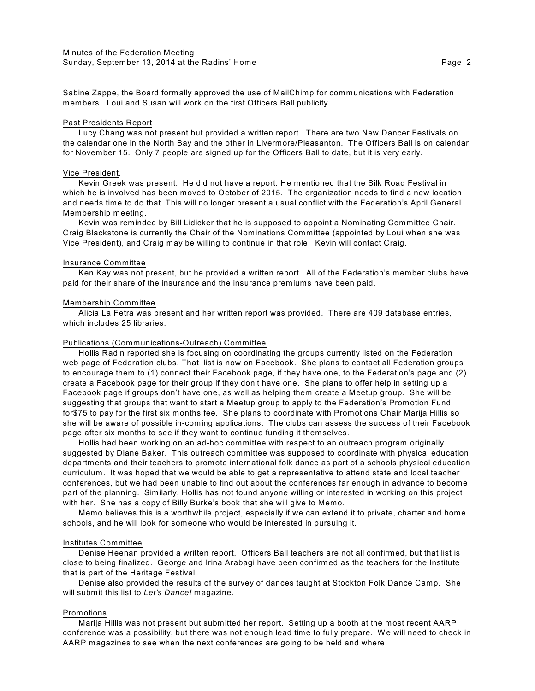Sabine Zappe, the Board formally approved the use of MailChimp for communications with Federation members. Loui and Susan will work on the first Officers Ball publicity.

## Past Presidents Report

Lucy Chang was not present but provided a written report. There are two New Dancer Festivals on the calendar one in the North Bay and the other in Livermore/Pleasanton. The Officers Ball is on calendar for November 15. Only 7 people are signed up for the Officers Ball to date, but it is very early.

# Vice President.

Kevin Greek was present. He did not have a report. He mentioned that the Silk Road Festival in which he is involved has been moved to October of 2015. The organization needs to find a new location and needs time to do that. This will no longer present a usual conflict with the Federation's April General Membership meeting.

Kevin was reminded by Bill Lidicker that he is supposed to appoint a Nominating Committee Chair. Craig Blackstone is currently the Chair of the Nominations Committee (appointed by Loui when she was Vice President), and Craig may be willing to continue in that role. Kevin will contact Craig.

## Insurance Committee

Ken Kay was not present, but he provided a written report. All of the Federation's member clubs have paid for their share of the insurance and the insurance premiums have been paid.

## Membership Committee

Alicia La Fetra was present and her written report was provided. There are 409 database entries, which includes 25 libraries.

#### Publications (Communications-Outreach) Committee

Hollis Radin reported she is focusing on coordinating the groups currently listed on the Federation web page of Federation clubs. That list is now on Facebook. She plans to contact all Federation groups to encourage them to (1) connect their Facebook page, if they have one, to the Federation's page and (2) create a Facebook page for their group if they don't have one. She plans to offer help in setting up a Facebook page if groups don't have one, as well as helping them create a Meetup group. She will be suggesting that groups that want to start a Meetup group to apply to the Federation's Promotion Fund for\$75 to pay for the first six months fee. She plans to coordinate with Promotions Chair Marija Hillis so she will be aware of possible in-coming applications. The clubs can assess the success of their Facebook page after six months to see if they want to continue funding it themselves.

Hollis had been working on an ad-hoc committee with respect to an outreach program originally suggested by Diane Baker. This outreach committee was supposed to coordinate with physical education departments and their teachers to promote international folk dance as part of a schools physical education curriculum. It was hoped that we would be able to get a representative to attend state and local teacher conferences, but we had been unable to find out about the conferences far enough in advance to become part of the planning. Similarly, Hollis has not found anyone willing or interested in working on this project with her. She has a copy of Billy Burke's book that she will give to Memo.

Memo believes this is a worthwhile project, especially if we can extend it to private, charter and home schools, and he will look for someone who would be interested in pursuing it.

#### Institutes Committee

Denise Heenan provided a written report. Officers Ball teachers are not all confirmed, but that list is close to being finalized. George and Irina Arabagi have been confirmed as the teachers for the Institute that is part of the Heritage Festival.

Denise also provided the results of the survey of dances taught at Stockton Folk Dance Camp. She will submit this list to *Let's Dance!* magazine.

## Promotions.

Marija Hillis was not present but submitted her report. Setting up a booth at the most recent AARP conference was a possibility, but there was not enough lead time to fully prepare. W e will need to check in AARP magazines to see when the next conferences are going to be held and where.